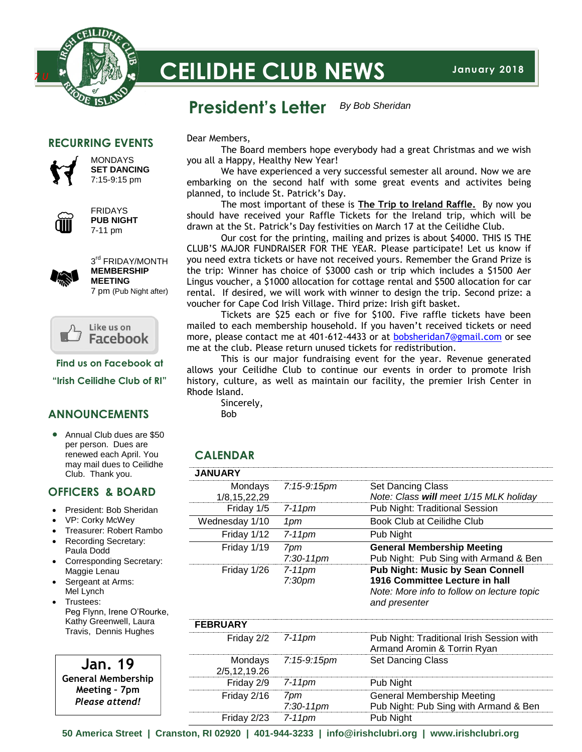

# **CEILIDHE CLUB NEWS**

#### **President's Letter** *By Bob Sheridan*

#### **RECURRING EVENTS**



**MONDAYS SET DANCING** 7:15-9:15 pm



FRIDAYS **PUB NIGHT** 7-11 pm



3<sup>rd</sup> FRIDAY/MONTH **MEMBERSHIP MEETING** 7 pm (Pub Night after)



**Find us on Facebook at**

**"Irish Ceilidhe Club of RI"**

#### **ANNOUNCEMENTS**

• Annual Club dues are \$50 per person. Dues are renewed each April. You may mail dues to Ceilidhe Club. Thank you.

#### **OFFICERS & BOARD**

- President: Bob Sheridan
- VP: Corky McWey
- Treasurer: Robert Rambo
- Recording Secretary: Paula Dodd
- Corresponding Secretary: Maggie Lenau
- Sergeant at Arms: Mel Lynch
- Trustees: Peg Flynn, Irene O'Rourke, Kathy Greenwell, Laura Travis, Dennis Hughes

**Jan. 19 General Membership Meeting – 7pm** *Please attend!*

Dear Members,

The Board members hope everybody had a great Christmas and we wish you all a Happy, Healthy New Year!

We have experienced a very successful semester all around. Now we are embarking on the second half with some great events and activites being planned, to include St. Patrick's Day.

The most important of these is **The Trip to Ireland Raffle.** By now you should have received your Raffle Tickets for the Ireland trip, which will be drawn at the St. Patrick's Day festivities on March 17 at the Ceilidhe Club.

Our cost for the printing, mailing and prizes is about \$4000. THIS IS THE CLUB'S MAJOR FUNDRAISER FOR THE YEAR. Please participate! Let us know if you need extra tickets or have not received yours. Remember the Grand Prize is the trip: Winner has choice of \$3000 cash or trip which includes a \$1500 Aer Lingus voucher, a \$1000 allocation for cottage rental and \$500 allocation for car rental. If desired, we will work with winner to design the trip. Second prize: a voucher for Cape Cod Irish Village. Third prize: Irish gift basket.

Tickets are \$25 each or five for \$100. Five raffle tickets have been mailed to each membership household. If you haven't received tickets or need more, please contact me at 401-612-4433 or at [bobsheridan7@gmail.com](mailto:bobsheridan7@gmail.com) or see me at the club. Please return unused tickets for redistribution.

This is our major fundraising event for the year. Revenue generated allows your Ceilidhe Club to continue our events in order to promote Irish history, culture, as well as maintain our facility, the premier Irish Center in Rhode Island.

Sincerely,

Bob

### **CALENDAR**

| <b>JANUARY</b> |                                 |                                                                                                                                          |
|----------------|---------------------------------|------------------------------------------------------------------------------------------------------------------------------------------|
| 1/8,15,22,29   | Mondays 7:15-9:15pm             | <b>Set Dancing Class</b><br>Note: Class will meet 1/15 MLK holiday                                                                       |
| Friday 1/5     | 7-11pm                          | Pub Night: Traditional Session                                                                                                           |
| Wednesday 1/10 | 1 pm                            | Book Club at Ceilidhe Club                                                                                                               |
| Friday 1/12    | $7-11$ pm                       | Pub Night                                                                                                                                |
| Friday 1/19    | 7pm<br>$7:30-11$ pm             | <b>General Membership Meeting</b><br>Pub Night: Pub Sing with Armand & Ben                                                               |
| Friday 1/26    | $7-11$ pm<br>7:30 <sub>pm</sub> | <b>Pub Night: Music by Sean Connell</b><br>1916 Committee Lecture in hall<br>Note: More info to follow on lecture topic<br>and presenter |

| <b>FEBRUARY</b>     |                     |                                                                            |
|---------------------|---------------------|----------------------------------------------------------------------------|
| Friday $2/2$ 7-11pm |                     | Pub Night: Traditional Irish Session with<br>Armand Aromin & Torrin Ryan   |
| 2/5,12,19.26        | Mondays 7:15-9:15pm | <b>Set Dancing Class</b>                                                   |
| Friday $2/9$ 7-11pm |                     | Pub Night                                                                  |
| Friday 2/16         | 7pm<br>$7:30-11$ pm | <b>General Membership Meeting</b><br>Pub Night: Pub Sing with Armand & Ben |
| Friday 2/23 7-11pm  |                     | Pub Night                                                                  |

**50 America Street | Cranston, RI 02920 | 401-944-3233 | info@irishclubri.org | www.irishclubri.org**